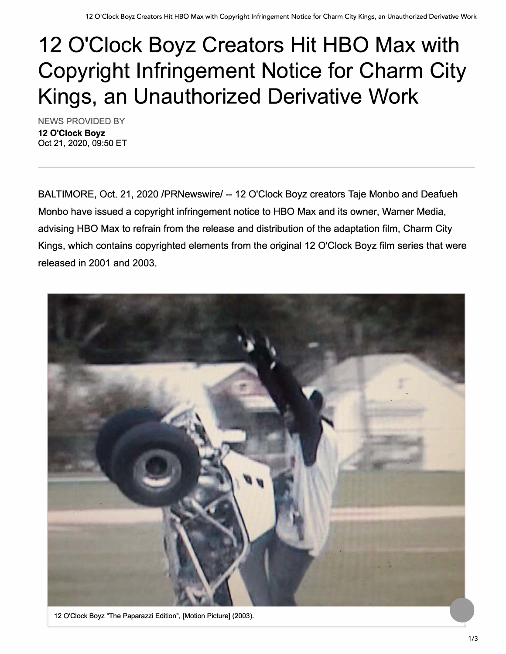## **12 O'Clock Boyz Creators Hit HBO Max with Copyright Infringement Notice for Charm City Kings, an Unauthorized Derivative Work**

NEWS PROVIDED BY **12 O'Clock Boyz**  Oct 21, 2020, 09:50 ET

BALTIMORE, Oct. 21, 2020 /PRNewswire/ -- 12 O'Clock Boyz creators Taje Monbo and Deafueh Monbo have issued a copyright infringement notice to HBO Max and its owner, Warner Media, advising HBO Max to refrain from the release and distribution of the adaptation film, Charm City Kings, which contains copyrighted elements from the original 12 O'Clock Boyz film series that were released in 2001 and 2003.



12 O'Clock Boyz 'The Paparazzi Edition", [Motion Picture] (2003).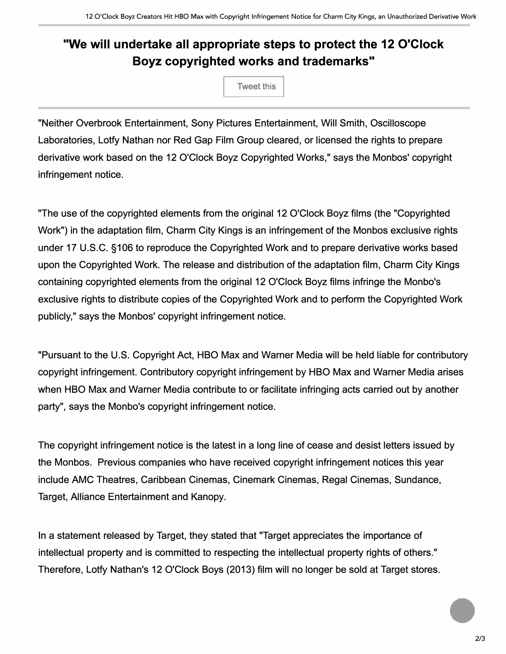## **"We will undertake all appropriate steps to protect the 12 O'Clock Boyz copyrighted works and trademarks"**

**Tweet this** 

"Neither Overbrook Entertainment, Sony Pictures Entertainment, Will Smith, Oscilloscope Laboratories, Lotty Nathan nor Red Gap Film Group cleared, or licensed the rights to prepare derivative work based on the 12 O'Clock Boyz Copyrighted Works," says the Monbos' copyright infringement notice.

"The use of the copyrighted elements from the original 12 O'Clock Boyz films (the "Copyrighted Work") in the adaptation film, Charm City Kings is an infringement of the Monbos exclusive rights under 17 U.S.C. §106 to reproduce the Copyrighted Work and to prepare derivative works based upon the Copyrighted Work. The release and distribution of the adaptation film, Charm City Kings containing copyrighted elements from the original 12 O'Clock Boyz films infringe the Monbo's exclusive rights to distribute copies of the Copyrighted Work and to perform the Copyrighted Work publicly," says the Monbos' copyright infringement notice.

"Pursuant to the U.S. Copyright Act, HBO Max and Warner Media will be held liable for contributory copyright infringement. Contributory copyright infringement by HBO Max and Warner Media arises when HBO Max and Warner Media contribute to or facilitate infringing acts carried out by another party", says the Monbo's copyright infringement notice.

The copyright infringement notice is the latest in a long line of cease and desist letters issued by the Monbos. Previous companies who have received copyright infringement notices this year include AMC Theatres, Caribbean Cinemas, Cinemark Cinemas, Regal Cinemas, Sundance, Target, Alliance Entertainment and Kanopy.

In a statement released by Target, they stated that "Target appreciates the importance of intellectual property and is committed to respecting the intellectual property rights of others." Therefore, Lotty Nathan's 12 O'Clock Boys (2013) film will no longer be sold at Target stores.